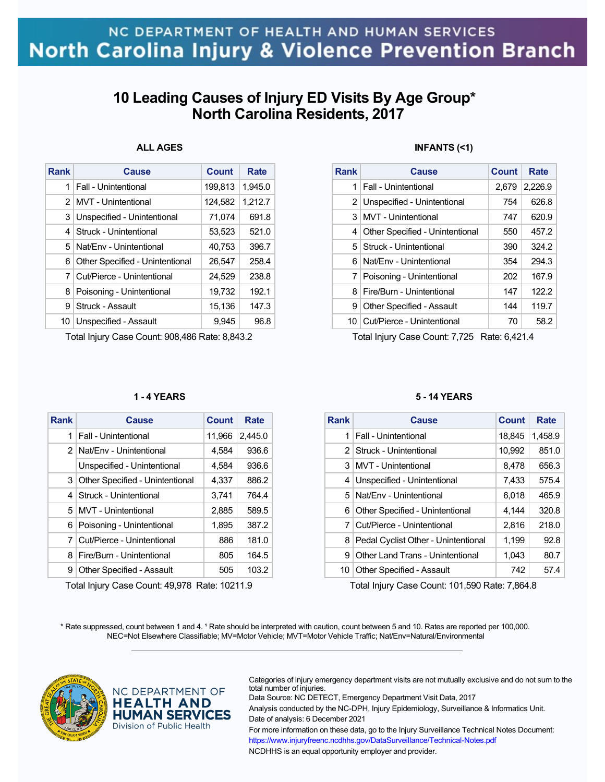## **10 Leading Causes of Injury ED Visits By Age Group\* North Carolina Residents, 2017**

### **ALL AGES**

| <b>Rank</b> | Cause                           | <b>Count</b> | Rate    |
|-------------|---------------------------------|--------------|---------|
| 1           | Fall - Unintentional            | 199,813      | 1.945.0 |
| 2           | <b>MVT</b> - Unintentional      | 124,582      | 1,212.7 |
| 3           | Unspecified - Unintentional     | 71,074       | 691.8   |
| 4           | Struck - Unintentional          | 53,523       | 521.0   |
| 5.          | Nat/Env - Unintentional         | 40,753       | 396.7   |
| 6           | Other Specified - Unintentional | 26.547       | 258.4   |
| 7           | Cut/Pierce - Unintentional      | 24,529       | 238.8   |
| 8           | Poisoning - Unintentional       | 19,732       | 192.1   |
| 9           | Struck - Assault                | 15,136       | 147.3   |
| 10          | Unspecified - Assault           | 9,945        | 96.8    |

Total Injury Case Count: 908,486 Rate: 8,843.2

### **1 - 4 YEARS**

| <b>Rank</b>    | Cause                            | <b>Count</b> | Rate    |
|----------------|----------------------------------|--------------|---------|
| 1              | Fall - Unintentional             | 11,966       | 2,445.0 |
|                | 2 Nat/Env - Unintentional        | 4,584        | 936.6   |
|                | Unspecified - Unintentional      | 4,584        | 936.6   |
| 3 <sup>1</sup> | Other Specified - Unintentional  | 4,337        | 886.2   |
| 4              | Struck - Unintentional           | 3,741        | 764.4   |
| 5.             | MVT - Unintentional              | 2,885        | 589.5   |
| 6              | Poisoning - Unintentional        | 1,895        | 387.2   |
| 7              | Cut/Pierce - Unintentional       | 886          | 181.0   |
| 8              | Fire/Burn - Unintentional        | 805          | 164.5   |
| 9              | <b>Other Specified - Assault</b> | 505          | 103.2   |

Total Injury Case Count: 49,978 Rate: 10211.9

### **INFANTS (<1)**

| Rank | Cause                            | Count | Rate    |
|------|----------------------------------|-------|---------|
| 1    | <b>Fall - Unintentional</b>      | 2.679 | 2,226.9 |
|      | 2 Unspecified - Unintentional    | 754   | 626.8   |
| 3    | MVT - Unintentional              | 747   | 620.9   |
| 4    | Other Specified - Unintentional  | 550   | 457.2   |
| 5.   | Struck - Unintentional           | 390   | 324.2   |
| 6    | Nat/Env - Unintentional          | 354   | 294.3   |
| 7    | Poisoning - Unintentional        | 202   | 167.9   |
| 8    | Fire/Burn - Unintentional        | 147   | 122.2   |
| 9    | <b>Other Specified - Assault</b> | 144   | 119.7   |
| 10.  | Cut/Pierce - Unintentional       | 70    | 58.2    |

Total Injury Case Count: 7,725 Rate: 6,421.4

#### **5 - 14 YEARS**

| <b>Rank</b>   | Cause                               | Count  | Rate    |
|---------------|-------------------------------------|--------|---------|
| 1             | Fall - Unintentional                | 18,845 | 1,458.9 |
| $\mathcal{P}$ | Struck - Unintentional              | 10,992 | 851.0   |
| 3             | MVT - Unintentional                 | 8,478  | 656.3   |
| 4             | Unspecified - Unintentional         | 7,433  | 575.4   |
| 5.            | Nat/Fny - Unintentional             | 6,018  | 465.9   |
| 6             | Other Specified - Unintentional     | 4.144  | 320.8   |
| 7             | Cut/Pierce - Unintentional          | 2,816  | 218.0   |
| 8             | Pedal Cyclist Other - Unintentional | 1,199  | 92.8    |
| 9             | Other Land Trans - Unintentional    | 1,043  | 80.7    |
| 10            | <b>Other Specified - Assault</b>    | 742    | 57.4    |

Total Injury Case Count: 101,590 Rate: 7,864.8

\* Rate suppressed, count between 1 and 4. <sup>1</sup> Rate should be interpreted with caution, count between 5 and 10. Rates are reported per 100,000. NEC=Not Elsewhere Classifiable; MV=Motor Vehicle; MVT=Motor Vehicle Traffic; Nat/Env=Natural/Environmental  $\mathcal{L}_\mathcal{L} = \{ \mathcal{L}_\mathcal{L} = \{ \mathcal{L}_\mathcal{L} = \{ \mathcal{L}_\mathcal{L} = \{ \mathcal{L}_\mathcal{L} = \{ \mathcal{L}_\mathcal{L} = \{ \mathcal{L}_\mathcal{L} = \{ \mathcal{L}_\mathcal{L} = \{ \mathcal{L}_\mathcal{L} = \{ \mathcal{L}_\mathcal{L} = \{ \mathcal{L}_\mathcal{L} = \{ \mathcal{L}_\mathcal{L} = \{ \mathcal{L}_\mathcal{L} = \{ \mathcal{L}_\mathcal{L} = \{ \mathcal{L}_\mathcal{$ 



NC DEPARTMENT OF **HEALTH AND HUMAN SERVICES** Division of Public Health

Categories of injury emergency department visits are not mutually exclusive and do not sum to the total number of injuries.

Data Source: NC DETECT, Emergency Department Visit Data, 2017

Analysis conducted by the NC-DPH, Injury Epidemiology, Surveillance & Informatics Unit. Date of analysis: 6 December 2021

For more information on these data, go to the Injury Surveillance Technical Notes Document: https://www.injuryfreenc.ncdhhs.gov/DataSurveillance/Technical-Notes.pdf NCDHHS is an equal opportunity employer and provider.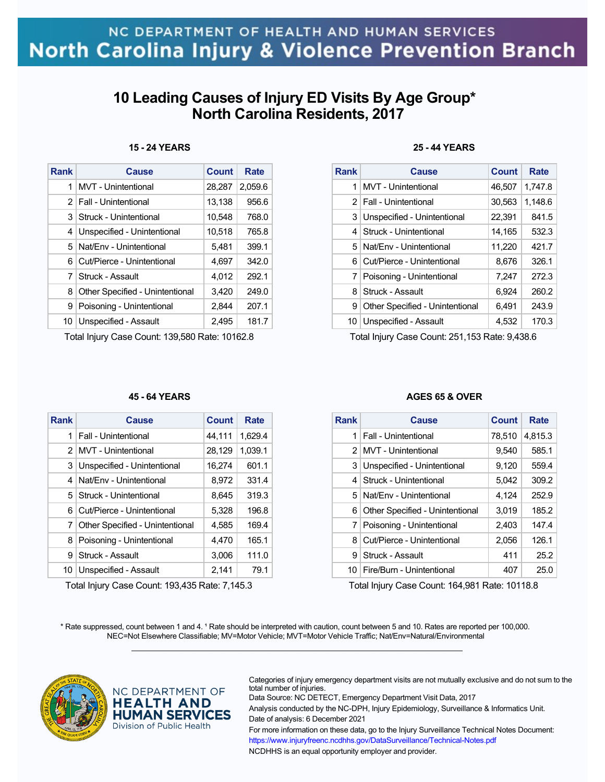## **10 Leading Causes of Injury ED Visits By Age Group\* North Carolina Residents, 2017**

### **15 - 24 YEARS**

| Rank | Cause                           | Count  | Rate    |
|------|---------------------------------|--------|---------|
| 1    | MVT - Unintentional             | 28,287 | 2.059.6 |
|      | 2 Fall - Unintentional          | 13,138 | 956.6   |
| 3    | Struck - Unintentional          | 10,548 | 768.0   |
| 4    | Unspecified - Unintentional     | 10.518 | 765.8   |
| 5.   | Nat/Env - Unintentional         | 5,481  | 399.1   |
| 6    | Cut/Pierce - Unintentional      | 4.697  | 342.0   |
| 7    | Struck - Assault                | 4.012  | 292.1   |
| 8    | Other Specified - Unintentional | 3,420  | 249.0   |
| 9    | Poisoning - Unintentional       | 2,844  | 207.1   |
| 10   | Unspecified - Assault           | 2,495  | 181.7   |

Total Injury Case Count: 139,580 Rate: 10162.8

### **45 - 64 YEARS**

| Rank           | Cause                           | <b>Count</b> | Rate    |
|----------------|---------------------------------|--------------|---------|
| 1              | Fall - Unintentional            | 44,111       | 1.629.4 |
| 2              | MVT - Unintentional             | 28,129       | 1,039.1 |
| 3              | Unspecified - Unintentional     | 16,274       | 601.1   |
| 4              | Nat/Fny - Unintentional         | 8,972        | 331.4   |
| 5 <sup>1</sup> | Struck - Unintentional          | 8,645        | 319.3   |
| 6              | Cut/Pierce - Unintentional      | 5,328        | 196.8   |
| 7              | Other Specified - Unintentional | 4.585        | 169.4   |
| 8              | Poisoning - Unintentional       | 4,470        | 165.1   |
| 9              | Struck - Assault                | 3,006        | 111.0   |
| 10             | Unspecified - Assault           | 2,141        | 79.1    |

Total Injury Case Count: 193,435 Rate: 7,145.3

**HEALTH AND HUMAN SERVICES** Division of Public Health

### **25 - 44 YEARS**

| <b>Rank</b>    | Cause                           | Count  | Rate    |
|----------------|---------------------------------|--------|---------|
| 1              | <b>MVT</b> - Unintentional      | 46,507 | 1,747.8 |
|                | 2   Fall - Unintentional        | 30,563 | 1,148.6 |
| 3              | Unspecified - Unintentional     | 22,391 | 841.5   |
| 4              | Struck - Unintentional          | 14,165 | 532.3   |
| 5.             | Nat/Fny - Unintentional         | 11,220 | 421.7   |
| 6              | Cut/Pierce - Unintentional      | 8.676  | 326.1   |
| 7 <sup>1</sup> | Poisoning - Unintentional       | 7,247  | 272.3   |
| 8              | Struck - Assault                | 6.924  | 260.2   |
| 9              | Other Specified - Unintentional | 6,491  | 243.9   |
| 10             | Unspecified - Assault           | 4,532  | 170.3   |

Total Injury Case Count: 251,153 Rate: 9,438.6

#### **AGES 65 & OVER**

| Rank | Cause                           | Count  | Rate    |
|------|---------------------------------|--------|---------|
| 1    | Fall - Unintentional            | 78,510 | 4,815.3 |
|      | 2 MVT - Unintentional           | 9,540  | 585.1   |
| 3    | Unspecified - Unintentional     | 9,120  | 559.4   |
| 4    | Struck - Unintentional          | 5,042  | 309.2   |
|      | 5 Nat/Fny - Unintentional       | 4,124  | 252.9   |
| 6    | Other Specified - Unintentional | 3,019  | 185.2   |
|      | 7   Poisoning - Unintentional   | 2,403  | 147.4   |
| 8    | Cut/Pierce - Unintentional      | 2,056  | 126.1   |
| 9    | Struck - Assault                | 411    | 25.2    |
| 10   | Fire/Burn - Unintentional       | 407    | 25.0    |

Total Injury Case Count: 164,981 Rate: 10118.8

\* Rate suppressed, count between 1 and 4. <sup>1</sup> Rate should be interpreted with caution, count between 5 and 10. Rates are reported per 100,000. NEC=Not Elsewhere Classifiable; MV=Motor Vehicle; MVT=Motor Vehicle Traffic; Nat/Env=Natural/Environmental  $\mathcal{L}_\mathcal{L} = \{ \mathcal{L}_\mathcal{L} = \{ \mathcal{L}_\mathcal{L} = \{ \mathcal{L}_\mathcal{L} = \{ \mathcal{L}_\mathcal{L} = \{ \mathcal{L}_\mathcal{L} = \{ \mathcal{L}_\mathcal{L} = \{ \mathcal{L}_\mathcal{L} = \{ \mathcal{L}_\mathcal{L} = \{ \mathcal{L}_\mathcal{L} = \{ \mathcal{L}_\mathcal{L} = \{ \mathcal{L}_\mathcal{L} = \{ \mathcal{L}_\mathcal{L} = \{ \mathcal{L}_\mathcal{L} = \{ \mathcal{L}_\mathcal{$ 



Categories of injury emergency department visits are not mutually exclusive and do not sum to the NC DEPARTMENT OF total number of injuries. Data Source: NC DETECT, Emergency Department Visit Data, 2017

> Analysis conducted by the NC-DPH, Injury Epidemiology, Surveillance & Informatics Unit. Date of analysis: 6 December 2021

For more information on these data, go to the Injury Surveillance Technical Notes Document: https://www.injuryfreenc.ncdhhs.gov/DataSurveillance/Technical-Notes.pdf

NCDHHS is an equal opportunity employer and provider.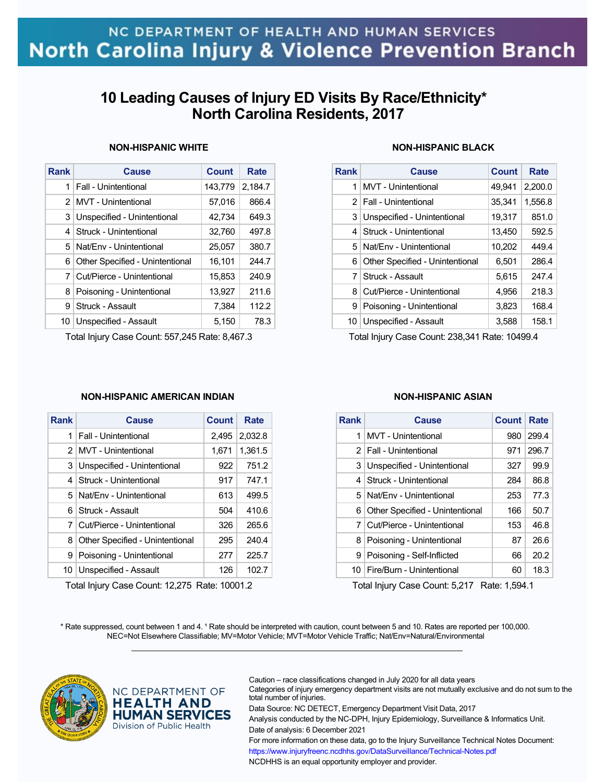## **10 Leading Causes of Injury ED Visits By Race/Ethnicity\* North Carolina Residents, 2017**

### **NON-HISPANIC WHITE**

| <b>Rank</b>    | Cause                           | <b>Count</b> | Rate    |
|----------------|---------------------------------|--------------|---------|
| 1 <sup>1</sup> | Fall - Unintentional            | 143,779      | 2.184.7 |
|                | 2   MVT - Unintentional         | 57,016       | 866.4   |
| 3              | Unspecified - Unintentional     | 42,734       | 649.3   |
|                | 4   Struck - Unintentional      | 32,760       | 497.8   |
| 5              | Nat/Env - Unintentional         | 25,057       | 380.7   |
| 6.             | Other Specified - Unintentional | 16,101       | 244.7   |
| $\overline{7}$ | Cut/Pierce - Unintentional      | 15,853       | 240.9   |
| 8              | Poisoning - Unintentional       | 13,927       | 211.6   |
| 9              | Struck - Assault                | 7,384        | 112.2   |
| 10             | Unspecified - Assault           | 5,150        | 78.3    |

Total Injury Case Count: 557,245 Rate: 8,467.3

### **NON-HISPANIC BLACK**

| <b>Rank</b> | Cause                           | Count  | Rate    |
|-------------|---------------------------------|--------|---------|
| 1           | MVT - Unintentional             | 49,941 | 2,200.0 |
|             | 2   Fall - Unintentional        | 35,341 | 1,556.8 |
| 3           | Unspecified - Unintentional     | 19,317 | 851.0   |
| 4           | Struck - Unintentional          | 13,450 | 592.5   |
| 5           | Nat/Env - Unintentional         | 10,202 | 449.4   |
| 6           | Other Specified - Unintentional | 6,501  | 286.4   |
| 7           | Struck - Assault                | 5,615  | 247.4   |
| 8           | Cut/Pierce - Unintentional      | 4,956  | 218.3   |
| 9           | Poisoning - Unintentional       | 3,823  | 168.4   |
| 10          | Unspecified - Assault           | 3,588  | 158.1   |

Total Injury Case Count: 238,341 Rate: 10499.4

### **NON-HISPANIC AMERICAN INDIAN**

| Rank           | Cause                           | Count | Rate    |
|----------------|---------------------------------|-------|---------|
| 1              | Fall - Unintentional            | 2,495 | 2,032.8 |
|                | 2   MVT - Unintentional         | 1.671 | 1,361.5 |
| 3              | Unspecified - Unintentional     | 922   | 751.2   |
| 4              | Struck - Unintentional          | 917   | 747.1   |
|                | 5 Nat/Fny - Unintentional       | 613   | 499.5   |
| 6              | Struck - Assault                | 504   | 410.6   |
| 7 <sup>1</sup> | Cut/Pierce - Unintentional      | 326   | 265.6   |
| 8              | Other Specified - Unintentional | 295   | 240.4   |
| 9              | Poisoning - Unintentional       | 277   | 225.7   |
| 10             | Unspecified - Assault           | 126   | 102.7   |

Total Injury Case Count: 12,275 Rate: 10001.2

#### **NON-HISPANIC ASIAN**

| Rank | Cause                           | <b>Count</b> | Rate  |
|------|---------------------------------|--------------|-------|
| 1    | MVT - Unintentional             | 980          | 299.4 |
|      | 2   Fall - Unintentional        | 971          | 296.7 |
|      | 3 Unspecified - Unintentional   | 327          | 99.9  |
| 4    | Struck - Unintentional          | 284          | 86.8  |
| 51   | Nat/Env - Unintentional         | 253          | 77.3  |
| 6    | Other Specified - Unintentional | 166          | 50.7  |
| 7    | Cut/Pierce - Unintentional      | 153          | 46.8  |
| 8    | Poisoning - Unintentional       | 87           | 26.6  |
| 9    | Poisoning - Self-Inflicted      | 66           | 20.2  |
|      | 10   Fire/Burn - Unintentional  | 60           | 18.3  |

Total Injury Case Count: 5,217 Rate: 1,594.1

\* Rate suppressed, count between 1 and 4. <sup>1</sup> Rate should be interpreted with caution, count between 5 and 10. Rates are reported per 100,000. NEC=Not Elsewhere Classifiable; MV=Motor Vehicle; MVT=Motor Vehicle Traffic; Nat/Env=Natural/Environmental  $\mathcal{L}_\mathcal{L} = \{ \mathcal{L}_\mathcal{L} = \{ \mathcal{L}_\mathcal{L} = \{ \mathcal{L}_\mathcal{L} = \{ \mathcal{L}_\mathcal{L} = \{ \mathcal{L}_\mathcal{L} = \{ \mathcal{L}_\mathcal{L} = \{ \mathcal{L}_\mathcal{L} = \{ \mathcal{L}_\mathcal{L} = \{ \mathcal{L}_\mathcal{L} = \{ \mathcal{L}_\mathcal{L} = \{ \mathcal{L}_\mathcal{L} = \{ \mathcal{L}_\mathcal{L} = \{ \mathcal{L}_\mathcal{L} = \{ \mathcal{L}_\mathcal{$ 



NC DEPARTMENT OF **HEALTH AND HUMAN SERVICES** Division of Public Health

Caution – race classifications changed in July 2020 for all data years Categories of injury emergency department visits are not mutually exclusive and do not sum to the total number of injuries.

Data Source: NC DETECT, Emergency Department Visit Data, 2017

Analysis conducted by the NC-DPH, Injury Epidemiology, Surveillance & Informatics Unit. Date of analysis: 6 December 2021

For more information on these data, go to the Injury Surveillance Technical Notes Document: https://www.injuryfreenc.ncdhhs.gov/DataSurveillance/Technical-Notes.pdf NCDHHS is an equal opportunity employer and provider.